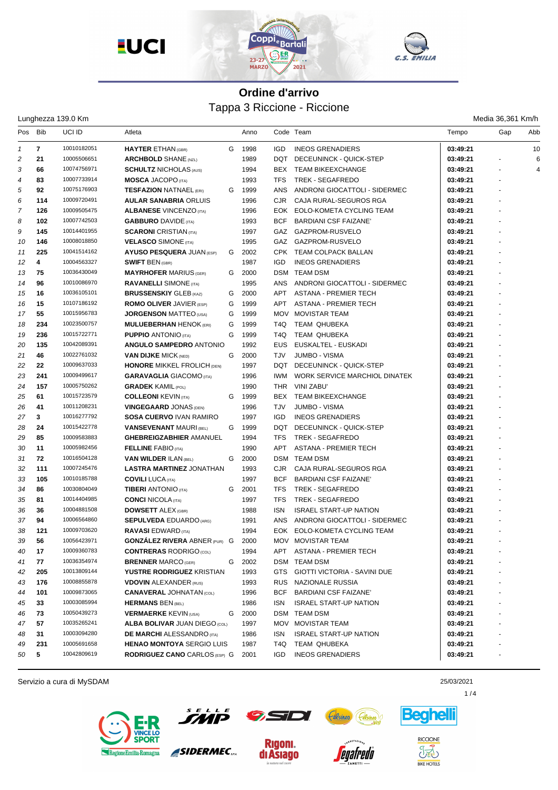

|    | Media 36,361 Kn |  |
|----|-----------------|--|
| pо | Gap             |  |

| Lunghezza 139.0 Km |     |             |                                      |   |      |            |                               |          | Media 36,361 Km/h |     |  |  |
|--------------------|-----|-------------|--------------------------------------|---|------|------------|-------------------------------|----------|-------------------|-----|--|--|
| Pos Bib            |     | UCI ID      | Atleta                               |   | Anno |            | Code Team                     | Tempo    | Gap               | Abb |  |  |
| $\mathbf{1}$       | 7   | 10010182051 | <b>HAYTER ETHAN (GBR)</b>            | G | 1998 | IGD        | <b>INEOS GRENADIERS</b>       | 03:49:21 |                   | 10  |  |  |
| $\overline{c}$     | 21  | 10005506651 | <b>ARCHBOLD SHANE (NZL)</b>          |   | 1989 | DQT        | DECEUNINCK - QUICK-STEP       | 03:49:21 |                   | 6   |  |  |
| 3                  | 66  | 10074756971 | <b>SCHULTZ NICHOLAS (AUS)</b>        |   | 1994 |            | BEX TEAM BIKEEXCHANGE         | 03:49:21 |                   | 4   |  |  |
| 4                  | 83  | 10007733914 | <b>MOSCA JACOPO (ITA)</b>            |   | 1993 | <b>TFS</b> | TREK - SEGAFREDO              | 03:49:21 | ä,                |     |  |  |
| 5                  | 92  | 10075176903 | <b>TESFAZION NATNAEL (ERI)</b>       | G | 1999 | ANS        | ANDRONI GIOCATTOLI - SIDERMEC | 03:49:21 | L.                |     |  |  |
| 6                  | 114 | 10009720491 | <b>AULAR SANABRIA ORLUIS</b>         |   | 1996 | CJR.       | CAJA RURAL-SEGUROS RGA        | 03:49:21 |                   |     |  |  |
| $\overline{7}$     | 126 | 10009505475 | <b>ALBANESE VINCENZO (ITA)</b>       |   | 1996 |            | EOK EOLO-KOMETA CYCLING TEAM  | 03:49:21 | ٠                 |     |  |  |
| 8                  | 102 | 10007742503 | <b>GABBURO DAVIDE (ITA)</b>          |   | 1993 | <b>BCF</b> | <b>BARDIANI CSF FAIZANE'</b>  | 03:49:21 |                   |     |  |  |
| 9                  | 145 | 10014401955 | <b>SCARONI</b> CRISTIAN (ITA)        |   | 1997 |            | GAZ GAZPROM-RUSVELO           | 03:49:21 |                   |     |  |  |
| 10                 | 146 | 10008018850 | <b>VELASCO SIMONE (ITA)</b>          |   | 1995 |            | GAZ GAZPROM-RUSVELO           | 03:49:21 |                   |     |  |  |
| 11                 | 225 | 10041514162 | <b>AYUSO PESQUERA JUAN (ESP)</b>     | G | 2002 |            | CPK TEAM COLPACK BALLAN       | 03:49:21 |                   |     |  |  |
| 12                 | 4   | 10004563327 | <b>SWIFT BEN (GBR)</b>               |   | 1987 | <b>IGD</b> | <b>INEOS GRENADIERS</b>       | 03:49:21 |                   |     |  |  |
| 13                 | 75  | 10036430049 | <b>MAYRHOFER MARIUS (GER)</b>        | G | 2000 |            | DSM TEAM DSM                  | 03:49:21 |                   |     |  |  |
| 14                 | 96  | 10010086970 | <b>RAVANELLI SIMONE (ITA)</b>        |   | 1995 | ANS        | ANDRONI GIOCATTOLI - SIDERMEC | 03:49:21 |                   |     |  |  |
| 15                 | 16  | 10036105101 | <b>BRUSSENSKIY GLEB (KAZ)</b>        | G | 2000 |            | APT ASTANA - PREMIER TECH     | 03:49:21 |                   |     |  |  |
| 16                 | 15  | 10107186192 | <b>ROMO OLIVER JAVIER (ESP)</b>      | G | 1999 |            | APT ASTANA - PREMIER TECH     | 03:49:21 |                   |     |  |  |
| 17                 | 55  | 10015956783 | <b>JORGENSON MATTEO (USA)</b>        | G | 1999 |            | MOV MOVISTAR TEAM             | 03:49:21 | $\overline{a}$    |     |  |  |
| 18                 | 234 | 10023500757 | <b>MULUEBERHAN HENOK (ERI)</b>       | G | 1999 | T4Q        | TEAM QHUBEKA                  | 03:49:21 |                   |     |  |  |
| 19                 | 236 | 10015722771 | <b>PUPPIO ANTONIO (ITA)</b>          | G | 1999 | T4Q        | <b>TEAM QHUBEKA</b>           | 03:49:21 |                   |     |  |  |
| 20                 | 135 | 10042089391 | <b>ANGULO SAMPEDRO ANTONIO</b>       |   | 1992 | EUS.       | EUSKALTEL - EUSKADI           | 03:49:21 |                   |     |  |  |
| 21                 | 46  | 10022761032 | <b>VAN DIJKE MICK (NED)</b>          | G | 2000 | TJV        | JUMBO - VISMA                 | 03:49:21 |                   |     |  |  |
| 22                 | 22  | 10009637033 | <b>HONORE MIKKEL FROLICH (DEN)</b>   |   | 1997 |            | DQT DECEUNINCK - QUICK-STEP   | 03:49:21 |                   |     |  |  |
| 23                 | 241 | 10009499617 | <b>GARAVAGLIA GIACOMO (ITA)</b>      |   | 1996 | IWM        | WORK SERVICE MARCHIOL DINATEK | 03:49:21 | L.                |     |  |  |
| 24                 | 157 | 10005750262 | <b>GRADEK KAMIL (POL)</b>            |   | 1990 | THR        | VINI ZABU'                    | 03:49:21 |                   |     |  |  |
| 25                 | 61  | 10015723579 | <b>COLLEONI KEVIN (ITA)</b>          | G | 1999 | BEX        | <b>TEAM BIKEEXCHANGE</b>      | 03:49:21 |                   |     |  |  |
| 26                 | 41  | 10011208231 | <b>VINGEGAARD JONAS (DEN)</b>        |   | 1996 | <b>TJV</b> | <b>JUMBO - VISMA</b>          | 03:49:21 |                   |     |  |  |
| 27                 | 3   | 10016277792 | <b>SOSA CUERVO IVAN RAMIRO</b>       |   | 1997 | IGD        | <b>INEOS GRENADIERS</b>       | 03:49:21 |                   |     |  |  |
| 28                 | 24  | 10015422778 | <b>VANSEVENANT MAURI (BEL)</b>       | G | 1999 |            | DQT DECEUNINCK - QUICK-STEP   | 03:49:21 |                   |     |  |  |
| 29                 | 85  | 10009583883 | <b>GHEBREIGZABHIER AMANUEL</b>       |   | 1994 | <b>TFS</b> | TREK - SEGAFREDO              | 03:49:21 | $\overline{a}$    |     |  |  |
| 30                 | 11  | 10005982456 | <b>FELLINE FABIO (ITA)</b>           |   | 1990 | APT        | ASTANA - PREMIER TECH         | 03:49:21 |                   |     |  |  |
| 31                 | 72  | 10016504128 | <b>VAN WILDER ILAN (BEL)</b>         | G | 2000 |            | DSM TEAM DSM                  | 03:49:21 | ٠                 |     |  |  |
| 32                 | 111 | 10007245476 | <b>LASTRA MARTINEZ JONATHAN</b>      |   | 1993 | CJR        | CAJA RURAL-SEGUROS RGA        | 03:49:21 |                   |     |  |  |
| 33                 | 105 | 10010185788 | <b>COVILI</b> LUCA (ITA)             |   | 1997 | <b>BCF</b> | BARDIANI CSF FAIZANE'         | 03:49:21 |                   |     |  |  |
| 34                 | 86  | 10030804049 | <b>TIBERI ANTONIO</b> (ITA)          | G | 2001 | <b>TFS</b> | TREK - SEGAFREDO              | 03:49:21 |                   |     |  |  |
| 35                 | 81  | 10014404985 | <b>CONCI NICOLA (ITA)</b>            |   | 1997 | <b>TFS</b> | TREK - SEGAFREDO              | 03:49:21 |                   |     |  |  |
| 36                 | 36  | 10004881508 | <b>DOWSETT ALEX (GBR)</b>            |   | 1988 | <b>ISN</b> | <b>ISRAEL START-UP NATION</b> | 03:49:21 |                   |     |  |  |
| 37                 | 94  | 10006564860 | <b>SEPULVEDA EDUARDO (ARG)</b>       |   | 1991 | ANS        | ANDRONI GIOCATTOLI - SIDERMEC | 03:49:21 |                   |     |  |  |
| 38                 | 121 | 10009703620 | <b>RAVASI EDWARD</b> (ITA)           |   | 1994 |            | EOK EOLO-KOMETA CYCLING TEAM  | 03:49:21 |                   |     |  |  |
| 39                 | 56  | 10056423971 | <b>GONZALEZ RIVERA ABNER (PUR) G</b> |   | 2000 |            | MOV MOVISTAR TEAM             | 03:49:21 |                   |     |  |  |
| 40                 | 17  | 10009360783 | <b>CONTRERAS RODRIGO (COL)</b>       |   | 1994 | APT        | <b>ASTANA - PREMIER TECH</b>  | 03:49:21 |                   |     |  |  |
| 41                 | 77  | 10036354974 | <b>BRENNER MARCO (GER)</b>           | G | 2002 |            | DSM TEAM DSM                  | 03:49:21 |                   |     |  |  |
| 42                 | 205 | 10013809144 | YUSTRE RODRIGUEZ KRISTIAN            |   | 1993 | GTS        | GIOTTI VICTORIA - SAVINI DUE  | 03:49:21 |                   |     |  |  |
| 43                 | 176 | 10008855878 | <b>VDOVIN ALEXANDER (RUS)</b>        |   | 1993 |            | RUS NAZIONALE RUSSIA          | 03:49:21 |                   |     |  |  |
| 44                 | 101 | 10009873065 | <b>CANAVERAL JOHNATAN (COL)</b>      |   | 1996 | BCF        | BARDIANI CSF FAIZANE'         | 03:49:21 |                   |     |  |  |
| 45                 | 33  | 10003085994 | <b>HERMANS BEN (BEL)</b>             |   | 1986 | <b>ISN</b> | <b>ISRAEL START-UP NATION</b> | 03:49:21 |                   |     |  |  |
| 46                 | 73  | 10050439273 | <b>VERMAERKE KEVIN (USA)</b>         | G | 2000 |            | DSM TEAM DSM                  | 03:49:21 |                   |     |  |  |
| 47                 | 57  | 10035265241 | <b>ALBA BOLIVAR JUAN DIEGO (COL)</b> |   | 1997 |            | MOV MOVISTAR TEAM             | 03:49:21 |                   |     |  |  |
| 48                 | 31  | 10003094280 | <b>DE MARCHI</b> ALESSANDRO (ITA)    |   | 1986 | <b>ISN</b> | <b>ISRAEL START-UP NATION</b> | 03:49:21 |                   |     |  |  |
| 49                 | 231 | 10005691658 | <b>HENAO MONTOYA SERGIO LUIS</b>     |   | 1987 | T4Q        | TEAM QHUBEKA                  | 03:49:21 |                   |     |  |  |
| 50                 | 5   | 10042809619 | <b>RODRIGUEZ CANO CARLOS (ESP) G</b> |   | 2001 | IGD        | <b>INEOS GRENADIERS</b>       | 03:49:21 |                   |     |  |  |
|                    |     |             |                                      |   |      |            |                               |          |                   |     |  |  |

Servizio a cura di MySDAM 25/03/2021



ีที่

SIDERMEC.

**Rigoni.** 

di Asiago



*enatredo* 



 $1/4$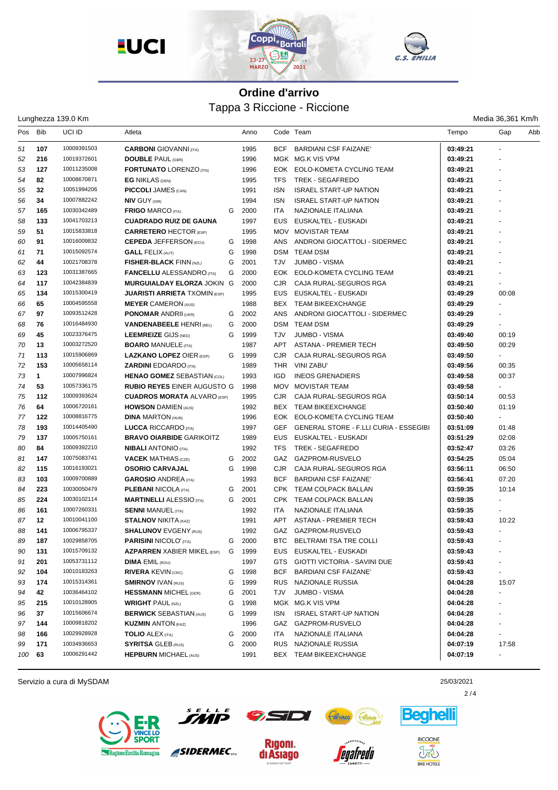

| Lunghezza 139.0 Km |
|--------------------|
|--------------------|

Media 36,361 Km/h

| Pos | Bib          | UCI ID      | Atleta                                                     |   | Anno         |            | Code Team                                         | Tempo                | Gap                      | Abb |
|-----|--------------|-------------|------------------------------------------------------------|---|--------------|------------|---------------------------------------------------|----------------------|--------------------------|-----|
| 51  | 107          | 10009391503 | <b>CARBONI</b> GIOVANNI (ITA)                              |   | 1995         | <b>BCF</b> | <b>BARDIANI CSF FAIZANE</b>                       | 03:49:21             |                          |     |
| 52  | 216          | 10019372601 | <b>DOUBLE PAUL (GBR)</b>                                   |   | 1996         |            | MGK MG.K VIS VPM                                  | 03:49:21             |                          |     |
| 53  | 127          | 10011235008 | <b>FORTUNATO LORENZO (ITA)</b>                             |   | 1996         | <b>EOK</b> | EOLO-KOMETA CYCLING TEAM                          | 03:49:21             |                          |     |
| 54  | 82           | 10008670871 | <b>EG NIKLAS (DEN)</b>                                     |   | 1995         | <b>TFS</b> | TREK - SEGAFREDO                                  | 03:49:21             | $\blacksquare$           |     |
| 55  | 32           | 10051994206 | <b>PICCOLI JAMES (CAN)</b>                                 |   | 1991         | <b>ISN</b> | <b>ISRAEL START-UP NATION</b>                     | 03:49:21             |                          |     |
| 56  | 34           | 10007882242 | <b>NIV GUY (ISR)</b>                                       |   | 1994         | <b>ISN</b> | <b>ISRAEL START-UP NATION</b>                     | 03:49:21             |                          |     |
| 57  | 165          | 10030342489 | <b>FRIGO MARCO</b> (ITA)                                   | G | 2000         | <b>ITA</b> | NAZIONALE ITALIANA                                | 03:49:21             |                          |     |
| 58  | 133          | 10041703213 | <b>CUADRADO RUIZ DE GAUNA</b>                              |   | 1997         | <b>EUS</b> | EUSKALTEL - EUSKADI                               | 03:49:21             |                          |     |
| 59  | 51           | 10015833818 | <b>CARRETERO HECTOR (ESP)</b>                              |   | 1995         | MOV        | <b>MOVISTAR TEAM</b>                              | 03:49:21             |                          |     |
| 60  | 91           | 10016009832 | <b>CEPEDA JEFFERSON (ECU)</b>                              | G | 1998         | ANS        | ANDRONI GIOCATTOLI - SIDERMEC                     | 03:49:21             |                          |     |
| 61  | 71           | 10015092574 | <b>GALL FELIX (AUT)</b>                                    | G | 1998         | <b>DSM</b> | <b>TEAM DSM</b>                                   | 03:49:21             |                          |     |
| 62  | 44           | 10021708378 | <b>FISHER-BLACK FINN (NZL)</b>                             | G | 2001         | <b>TJV</b> | <b>JUMBO - VISMA</b>                              | 03:49:21             |                          |     |
| 63  | 123          | 10031387665 | <b>FANCELLU ALESSANDRO</b> (ITA)                           | G | 2000         | <b>EOK</b> | EOLO-KOMETA CYCLING TEAM                          | 03:49:21             |                          |     |
| 64  | 117          | 10042384839 | MURGUIALDAY ELORZA JOKIN G                                 |   | 2000         | <b>CJR</b> | CAJA RURAL-SEGUROS RGA                            | 03:49:21             |                          |     |
| 65  | 134          | 10015300419 | <b>JUARISTI ARRIETA TXOMIN (ESP)</b>                       |   | 1995         | <b>EUS</b> | EUSKALTEL - EUSKADI                               | 03:49:29             | 00:08                    |     |
| 66  | 65           | 10004595558 | <b>MEYER CAMERON (AUS)</b>                                 |   | 1988         | <b>BEX</b> | <b>TEAM BIKEEXCHANGE</b>                          | 03:49:29             |                          |     |
| 67  | 97           | 10093512428 | <b>PONOMAR ANDRII (UKR)</b>                                | G | 2002         | ANS        | ANDRONI GIOCATTOLI - SIDERMEC                     | 03:49:29             |                          |     |
| 68  | 76           | 10016484930 | <b>VANDENABEELE HENRI (BEL)</b>                            | G | 2000         |            | DSM TEAM DSM                                      | 03:49:29             |                          |     |
| 69  | 45           | 10023376475 | <b>LEEMREIZE GIJS (NED)</b>                                | G | 1999         | TJV        | <b>JUMBO - VISMA</b>                              | 03:49:40             | 00:19                    |     |
| 70  | 13           | 10003272520 | <b>BOARO MANUELE (ITA)</b>                                 |   | 1987         | <b>APT</b> | <b>ASTANA - PREMIER TECH</b>                      | 03:49:50             | 00:29                    |     |
| 71  | 113          | 10015906869 | <b>LAZKANO LOPEZ OIER (ESP)</b>                            | G | 1999         | <b>CJR</b> | CAJA RURAL-SEGUROS RGA                            | 03:49:50             |                          |     |
| 72  | 153          | 10005658114 | <b>ZARDINI EDOARDO</b> (ITA)                               |   | 1989         | <b>THR</b> | <b>VINI ZABU'</b>                                 | 03:49:56             | 00:35                    |     |
| 73  | $\mathbf{1}$ | 10007996824 | <b>HENAO GOMEZ SEBASTIAN (COL)</b>                         |   | 1993         | <b>IGD</b> | <b>INEOS GRENADIERS</b>                           | 03:49:58             | 00:37                    |     |
| 74  | 53           | 10057336175 | <b>RUBIO REYES EINER AUGUSTO G</b>                         |   | 1998         | MOV        | <b>MOVISTAR TEAM</b>                              | 03:49:58             |                          |     |
| 75  | 112          | 10009393624 | <b>CUADROS MORATA ALVARO (ESP)</b>                         |   | 1995         | <b>CJR</b> | CAJA RURAL-SEGUROS RGA                            | 03:50:14             | 00:53                    |     |
| 76  | 64           | 10006720161 | <b>HOWSON DAMIEN (AUS)</b>                                 |   | 1992         | BEX        | <b>TEAM BIKEEXCHANGE</b>                          | 03:50:40             | 01:19                    |     |
| 77  | 122          | 10008816775 | <b>DINA MARTON (HUN)</b>                                   |   | 1996         | <b>EOK</b> | EOLO-KOMETA CYCLING TEAM                          | 03:50:40             |                          |     |
| 78  | 193          | 10014405490 | <b>LUCCA RICCARDO</b> (ITA)                                |   | 1997         | <b>GEF</b> | <b>GENERAL STORE - F.LLI CURIA - ESSEGIBI</b>     | 03:51:09             | 01:48                    |     |
| 79  | 137          | 10005750161 | <b>BRAVO OIARBIDE GARIKOITZ</b>                            |   | 1989         | <b>EUS</b> | EUSKALTEL - EUSKADI                               | 03:51:29             | 02:08                    |     |
| 80  | 84           | 10009392210 | <b>NIBALI</b> ANTONIO (ITA)                                |   | 1992         | <b>TFS</b> | TREK - SEGAFREDO                                  | 03:52:47             | 03:26                    |     |
| 81  | 147          | 10075083741 | <b>VACEK MATHIAS</b> (CZE)                                 | G | 2002         | <b>GAZ</b> | GAZPROM-RUSVELO                                   | 03:54:25             | 05:04                    |     |
| 82  | 115          | 10016193021 | <b>OSORIO CARVAJAL</b>                                     | G | 1998         | CJR.       | CAJA RURAL-SEGUROS RGA                            | 03:56:11             | 06:50                    |     |
| 83  | 103          | 10009700889 | <b>GAROSIO ANDREA</b> (ITA)                                |   | 1993         | <b>BCF</b> | <b>BARDIANI CSF FAIZANE</b>                       | 03:56:41             | 07:20                    |     |
| 84  | 223          | 10030050479 | <b>PLEBANI NICOLA</b> (ITA)                                | G | 2001         | <b>CPK</b> | TEAM COLPACK BALLAN                               | 03:59:35             | 10:14                    |     |
| 85  | 224          | 10030102114 | <b>MARTINELLI ALESSIO</b> (ITA)                            | G | 2001         | CPK        | <b>TEAM COLPACK BALLAN</b>                        | 03:59:35             | $\sim$                   |     |
| 86  | 161          | 10007260331 | <b>SENNI MANUEL (ITA)</b>                                  |   | 1992         | <b>ITA</b> | NAZIONALE ITALIANA                                | 03:59:35             | $\sim$                   |     |
| 87  | 12           | 10010041100 | <b>STALNOV NIKITA (KAZ)</b>                                |   | 1991         | <b>APT</b> | ASTANA - PREMIER TECH                             | 03:59:43             | 10:22                    |     |
| 88  | 141          | 10006795337 | <b>SHALUNOV EVGENY (RUS)</b>                               |   | 1992         |            | GAZ GAZPROM-RUSVELO                               | 03:59:43             |                          |     |
| 89  | 187          | 10029858705 | <b>PARISINI NICOLO' (ITA)</b>                              | G | 2000         | BTC        | BELTRAMI TSA TRE COLLI                            | 03:59:43             | $\blacksquare$           |     |
| 90  | 131          | 10015709132 | <b>AZPARREN</b> XABIER MIKEL (ESP)                         | G | 1999         | <b>EUS</b> | EUSKALTEL - EUSKADI                               | 03:59:43             |                          |     |
| 91  | 201          | 10053731112 | <b>DIMA EMIL (ROU)</b>                                     |   | 1997         | GTS.       | GIOTTI VICTORIA - SAVINI DUE                      | 03:59:43             |                          |     |
| 92  | 104          | 10010183263 | <b>RIVERA KEVIN (CRC)</b>                                  | G | 1998         | BCF        | BARDIANI CSF FAIZANE'                             | 03:59:43             | $\frac{1}{2}$            |     |
| 93  | 174          | 10015314361 | <b>SMIRNOV IVAN (RUS)</b>                                  | G | 1999         |            | RUS NAZIONALE RUSSIA                              | 04:04:28             | 15:07                    |     |
| 94  | 42           | 10036464102 | <b>HESSMANN MICHEL (GER)</b>                               | G | 2001         | TJV        | JUMBO - VISMA                                     | 04:04:28             |                          |     |
|     | 215          | 10010128905 |                                                            | G | 1998         |            |                                                   |                      |                          |     |
| 95  | 37           | 10015606674 | <b>WRIGHT PAUL (NZL)</b><br><b>BERWICK SEBASTIAN (AUS)</b> | G |              |            | MGK MG.K VIS VPM<br><b>ISRAEL START-UP NATION</b> | 04:04:28             |                          |     |
| 96  | 144          | 10009818202 |                                                            |   | 1999<br>1996 | ISN        |                                                   | 04:04:28<br>04:04:28 | $\tilde{\phantom{a}}$    |     |
| 97  | 166          | 10029928928 | <b>KUZMIN ANTON (KAZ)</b>                                  |   | 2000         | ITA        | GAZ GAZPROM-RUSVELO<br>NAZIONALE ITALIANA         |                      | $\overline{\phantom{a}}$ |     |
| 98  |              | 10034936653 | <b>TOLIO</b> ALEX (ITA)                                    | G |              |            |                                                   | 04:04:28             |                          |     |
| 99  | 171          |             | <b>SYRITSA GLEB (RUS)</b>                                  | G | 2000         | <b>RUS</b> | NAZIONALE RUSSIA                                  | 04:07:19             | 17:58                    |     |
| 100 | 63           | 10006291442 | <b>HEPBURN MICHAEL (AUS)</b>                               |   | 1991         |            | BEX TEAM BIKEEXCHANGE                             | 04:07:19             | $\mathbf{r}$             |     |

Servizio a cura di MySDAM 25/03/2021



**AP** 

SIDERMEC.

**Rigoni.** 

di Asiago







 $2/4$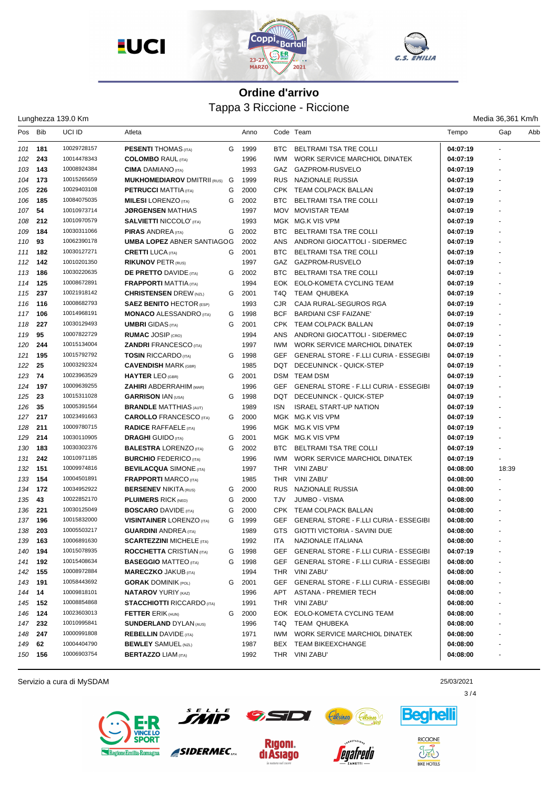

| Media 36,361 Km/h |  |
|-------------------|--|
|                   |  |

|         |         | Lunghezza 139.0 Km |                                    |   |      |            |                                               |          | Media 36,361 Km/h |     |
|---------|---------|--------------------|------------------------------------|---|------|------------|-----------------------------------------------|----------|-------------------|-----|
| Pos Bib |         | UCI ID             | Atleta                             |   | Anno |            | Code Team                                     | Tempo    | Gap               | Abb |
| 101     | 181     | 10029728157        | <b>PESENTI THOMAS</b> (ITA)        | G | 1999 | BTC.       | BELTRAMI TSA TRE COLLI                        | 04:07:19 |                   |     |
| 102     | 243     | 10014478343        | <b>COLOMBO</b> RAUL (ITA)          |   | 1996 | IWM.       | WORK SERVICE MARCHIOL DINATEK                 | 04:07:19 |                   |     |
| 103     | 143     | 10008924384        | <b>CIMA</b> DAMIANO (ITA)          |   | 1993 |            | GAZ GAZPROM-RUSVELO                           | 04:07:19 |                   |     |
| 104     | 173     | 10015265659        | <b>MUKHOMEDIAROV DMITRII (RUS)</b> | G | 1999 |            | RUS NAZIONALE RUSSIA                          | 04:07:19 |                   |     |
| 105     | 226     | 10029403108        | <b>PETRUCCI MATTIA</b> (ITA)       | G | 2000 |            | CPK TEAM COLPACK BALLAN                       | 04:07:19 |                   |     |
| 106     | 185     | 10084075035        | <b>MILESI</b> LORENZO (ITA)        | G | 2002 | BTC.       | BELTRAMI TSA TRE COLLI                        | 04:07:19 |                   |     |
| 107     | 54      | 10010973714        | <b>JØRGENSEN MATHIAS</b>           |   | 1997 |            | MOV MOVISTAR TEAM                             | 04:07:19 |                   |     |
| 108     | 212     | 10010970579        | <b>SALVIETTI NICCOLO' (ITA)</b>    |   | 1993 |            | MGK MG.K VIS VPM                              | 04:07:19 |                   |     |
| 109     | 184     | 10030311066        | <b>PIRAS ANDREA</b> (ITA)          | G | 2002 | BTC.       | BELTRAMI TSA TRE COLLI                        | 04:07:19 |                   |     |
| 110     | 93      | 10062390178        | <b>UMBA LOPEZ ABNER SANTIAGOG</b>  |   | 2002 | ANS        | ANDRONI GIOCATTOLI - SIDERMEC                 | 04:07:19 |                   |     |
| 111     | 182     | 10030127271        | <b>CRETTI LUCA (ITA)</b>           | G | 2001 | <b>BTC</b> | BELTRAMI TSA TRE COLLI                        | 04:07:19 |                   |     |
| 112     | 142     | 10010201350        | <b>RIKUNOV PETR (RUS)</b>          |   | 1997 |            | GAZ GAZPROM-RUSVELO                           | 04:07:19 |                   |     |
| 113     | 186     | 10030220635        | <b>DE PRETTO DAVIDE (ITA)</b>      | G | 2002 | BTC        | BELTRAMI TSA TRE COLLI                        | 04:07:19 |                   |     |
| 114     | 125     | 10008672891        | <b>FRAPPORTI MATTIA (ITA)</b>      |   | 1994 |            | EOK EOLO-KOMETA CYCLING TEAM                  | 04:07:19 |                   |     |
| 115     | 237     | 10021918142        | <b>CHRISTENSEN DREW (NZL)</b>      | G | 2001 | T4Q        | TEAM QHUBEKA                                  | 04:07:19 |                   |     |
| 116     | 116     | 10008682793        | <b>SAEZ BENITO HECTOR (ESP)</b>    |   | 1993 | CJR        | CAJA RURAL-SEGUROS RGA                        | 04:07:19 |                   |     |
| 117     | 106     | 10014968191        | <b>MONACO ALESSANDRO (ITA)</b>     | G | 1998 | <b>BCF</b> | <b>BARDIANI CSF FAIZANE'</b>                  | 04:07:19 |                   |     |
| 118     | 227     | 10030129493        | <b>UMBRI</b> GIDAS (ITA)           | G | 2001 |            | CPK TEAM COLPACK BALLAN                       | 04:07:19 |                   |     |
| 119     | 95      | 10007822729        | <b>RUMAC JOSIP (CRO)</b>           |   | 1994 | ANS        | ANDRONI GIOCATTOLI - SIDERMEC                 | 04:07:19 |                   |     |
| 120     | 244     | 10015134004        | <b>ZANDRI FRANCESCO (ITA)</b>      |   | 1997 | IWM        | WORK SERVICE MARCHIOL DINATEK                 | 04:07:19 |                   |     |
| 121     | 195     | 10015792792        | <b>TOSIN RICCARDO</b> (ITA)        | G | 1998 | <b>GEF</b> | <b>GENERAL STORE - F.LLI CURIA - ESSEGIBI</b> | 04:07:19 |                   |     |
| 122     | 25      | 10003292324        | <b>CAVENDISH MARK (GBR)</b>        |   | 1985 | DQT        | DECEUNINCK - QUICK-STEP                       | 04:07:19 |                   |     |
| 123     | 74      | 10023963529        | <b>HAYTER LEO (GBR)</b>            | G | 2001 |            | <b>DSM TEAM DSM</b>                           | 04:07:19 |                   |     |
| 124     | 197     | 10009639255        | <b>ZAHIRI</b> ABDERRAHIM (MAR)     |   | 1996 | <b>GEF</b> | GENERAL STORE - F.LLI CURIA - ESSEGIBI        | 04:07:19 |                   |     |
| 125     | 23      | 10015311028        | <b>GARRISON IAN (USA)</b>          | G | 1998 | DQT        | DECEUNINCK - QUICK-STEP                       | 04:07:19 |                   |     |
| 126     | 35      | 10005391564        | <b>BRANDLE MATTHIAS (AUT)</b>      |   | 1989 | <b>ISN</b> | <b>ISRAEL START-UP NATION</b>                 | 04:07:19 |                   |     |
| 127     | 217     | 10023491663        | <b>CAROLLO</b> FRANCESCO (ITA)     | G | 2000 |            | MGK MG.K VIS VPM                              | 04:07:19 |                   |     |
| 128     | 211     | 10009780715        | <b>RADICE RAFFAELE (ITA)</b>       |   | 1996 |            | MGK MG.K VIS VPM                              | 04:07:19 |                   |     |
| 129     | 214     | 10030110905        | <b>DRAGHI</b> GUIDO (ITA)          | G | 2001 |            | MGK MG.K VIS VPM                              | 04:07:19 |                   |     |
| 130     | 183     | 10030302376        | <b>BALESTRA LORENZO</b> (ITA)      | G | 2002 | BTC.       | BELTRAMI TSA TRE COLLI                        | 04:07:19 |                   |     |
| 131     | 242     | 10010971185        | <b>BURCHIO FEDERICO (ITA)</b>      |   | 1996 | IWM        | WORK SERVICE MARCHIOL DINATEK                 | 04:07:19 |                   |     |
| 132     | 151     | 10009974816        | <b>BEVILACQUA SIMONE (ITA)</b>     |   | 1997 |            | THR VINI ZABU'                                | 04:08:00 | 18:39             |     |
| 133     | 154     | 10004501891        | <b>FRAPPORTI MARCO (ITA)</b>       |   | 1985 |            | THR VINI ZABU'                                | 04:08:00 |                   |     |
| 134     | 172     | 10034952922        | <b>BERSENEV NIKITA (RUS)</b>       | G | 2000 | <b>RUS</b> | NAZIONALE RUSSIA                              | 04:08:00 |                   |     |
| 135     | 43      | 10022852170        | <b>PLUIMERS RICK (NED)</b>         | G | 2000 | <b>TJV</b> | <b>JUMBO - VISMA</b>                          | 04:08:00 |                   |     |
| 136     | 221     | 10030125049        | <b>BOSCARO</b> DAVIDE (ITA)        | G | 2000 |            | CPK TEAM COLPACK BALLAN                       | 04:08:00 |                   |     |
| 137     | 196     | 10015832000        | <b>VISINTAINER LORENZO (ITA)</b>   | G | 1999 | <b>GEF</b> | <b>GENERAL STORE - F.LLI CURIA - ESSEGIBI</b> | 04:08:00 |                   |     |
| 138     | 203     | 10005503217        | <b>GUARDINI ANDREA</b> (ITA)       |   | 1989 | GTS.       | GIOTTI VICTORIA - SAVINI DUE                  | 04:08:00 |                   |     |
| 139     | 163     | 10006891630        | <b>SCARTEZZINI MICHELE (ITA)</b>   |   | 1992 | ITA        | NAZIONALE ITALIANA                            | 04:08:00 |                   |     |
| 140     | 194     | 10015078935        | <b>ROCCHETTA CRISTIAN (ITA)</b>    | G | 1998 | <b>GEF</b> | <b>GENERAL STORE - F.LLI CURIA - ESSEGIBI</b> | 04:07:19 |                   |     |
| 141     | 192     | 10015408634        | <b>BASEGGIO MATTEO (ITA)</b>       | G | 1998 | <b>GEF</b> | GENERAL STORE - F.LLI CURIA - ESSEGIBI        | 04:08:00 |                   |     |
| 142     | 155     | 10008972884        | <b>MARECZKO JAKUB (ITA)</b>        |   | 1994 |            | THR VINI ZABU'                                | 04:08:00 |                   |     |
| 143     | 191     | 10058443692        | <b>GORAK DOMINIK (POL)</b>         | G | 2001 | <b>GEF</b> | GENERAL STORE - F.LLI CURIA - ESSEGIBI        | 04:08:00 |                   |     |
| 144     | 14      | 10009818101        | <b>NATAROV YURIY (KAZ)</b>         |   | 1996 |            | APT ASTANA - PREMIER TECH                     | 04:08:00 |                   |     |
|         | 145 152 | 10008854868        | <b>STACCHIOTTI RICCARDO (ITA)</b>  |   | 1991 |            | THR VINI ZABU'                                | 04:08:00 |                   |     |
| 146     | 124     | 10023603013        | <b>FETTER ERIK (HUN)</b>           | G | 2000 | EOK        | EOLO-KOMETA CYCLING TEAM                      | 04:08:00 |                   |     |
| 147     | 232     | 10010995841        | <b>SUNDERLAND DYLAN (AUS)</b>      |   | 1996 | T4Q        | TEAM QHUBEKA                                  | 04:08:00 |                   |     |
| 148     | 247     | 10000991808        | <b>REBELLIN</b> DAVIDE (ITA)       |   | 1971 | IWM        | WORK SERVICE MARCHIOL DINATEK                 | 04:08:00 |                   |     |
| 149     | 62      | 10004404790        | <b>BEWLEY SAMUEL (NZL)</b>         |   | 1987 |            | BEX TEAM BIKEEXCHANGE                         | 04:08:00 |                   |     |
|         | 150 156 | 10006903754        | <b>BERTAZZO LIAM (ITA)</b>         |   | 1992 |            | THR VINI ZABU'                                | 04:08:00 |                   |     |
|         |         |                    |                                    |   |      |            |                                               |          |                   |     |

Servizio a cura di MySDAM 25/03/2021





SIDERMEC.

**Rigoni.** 

di Asiago



*enatredo* 



 $3/4$